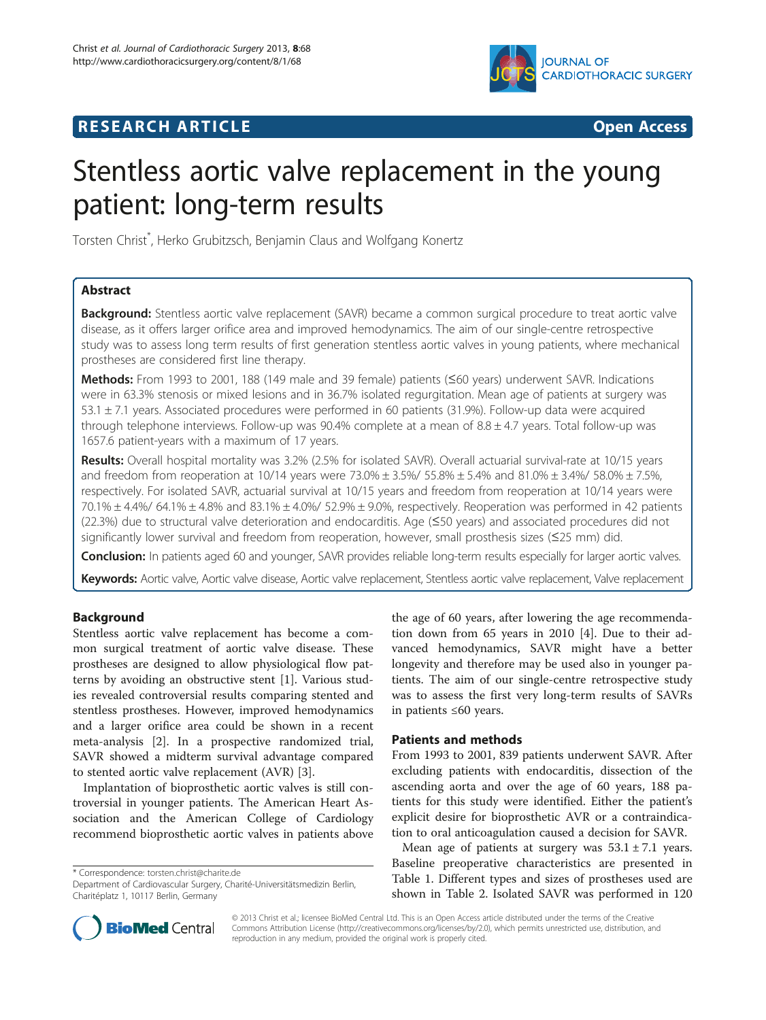# **RESEARCH ARTICLE Example 2008 CONSIDERING CONSIDERING CONSIDERING CONSIDERING CONSIDERING CONSIDERING CONSIDERING CONSIDERING CONSIDERING CONSIDERING CONSIDERING CONSIDERING CONSIDERING CONSIDERING CONSIDERING CONSIDE**



# Stentless aortic valve replacement in the young patient: long-term results

Torsten Christ\* , Herko Grubitzsch, Benjamin Claus and Wolfgang Konertz

# Abstract

**Background:** Stentless aortic valve replacement (SAVR) became a common surgical procedure to treat aortic valve disease, as it offers larger orifice area and improved hemodynamics. The aim of our single-centre retrospective study was to assess long term results of first generation stentless aortic valves in young patients, where mechanical prostheses are considered first line therapy.

Methods: From 1993 to 2001, 188 (149 male and 39 female) patients (≤60 years) underwent SAVR. Indications were in 63.3% stenosis or mixed lesions and in 36.7% isolated regurgitation. Mean age of patients at surgery was 53.1 ± 7.1 years. Associated procedures were performed in 60 patients (31.9%). Follow-up data were acquired through telephone interviews. Follow-up was 90.4% complete at a mean of  $8.8 \pm 4.7$  years. Total follow-up was 1657.6 patient-years with a maximum of 17 years.

Results: Overall hospital mortality was 3.2% (2.5% for isolated SAVR). Overall actuarial survival-rate at 10/15 years and freedom from reoperation at 10/14 years were 73.0%  $\pm$  3.5%/ 55.8%  $\pm$  5.4% and 81.0%  $\pm$  3.4%/ 58.0%  $\pm$  7.5%, respectively. For isolated SAVR, actuarial survival at 10/15 years and freedom from reoperation at 10/14 years were 70.1% ± 4.4%/ 64.1% ± 4.8% and 83.1% ± 4.0%/ 52.9% ± 9.0%, respectively. Reoperation was performed in 42 patients (22.3%) due to structural valve deterioration and endocarditis. Age (≤50 years) and associated procedures did not significantly lower survival and freedom from reoperation, however, small prosthesis sizes (≤25 mm) did.

Conclusion: In patients aged 60 and younger, SAVR provides reliable long-term results especially for larger aortic valves.

Keywords: Aortic valve, Aortic valve disease, Aortic valve replacement, Stentless aortic valve replacement, Valve replacement

# Background

Stentless aortic valve replacement has become a common surgical treatment of aortic valve disease. These prostheses are designed to allow physiological flow patterns by avoiding an obstructive stent [[1\]](#page-6-0). Various studies revealed controversial results comparing stented and stentless prostheses. However, improved hemodynamics and a larger orifice area could be shown in a recent meta-analysis [\[2](#page-6-0)]. In a prospective randomized trial, SAVR showed a midterm survival advantage compared to stented aortic valve replacement (AVR) [[3\]](#page-6-0).

Implantation of bioprosthetic aortic valves is still controversial in younger patients. The American Heart Association and the American College of Cardiology recommend bioprosthetic aortic valves in patients above

\* Correspondence: [torsten.christ@charite.de](mailto:torsten.christ@charite.de)

Department of Cardiovascular Surgery, Charité-Universitätsmedizin Berlin, Charitéplatz 1, 10117 Berlin, Germany

the age of 60 years, after lowering the age recommendation down from 65 years in 2010 [\[4\]](#page-6-0). Due to their advanced hemodynamics, SAVR might have a better longevity and therefore may be used also in younger patients. The aim of our single-centre retrospective study was to assess the first very long-term results of SAVRs in patients ≤60 years.

# Patients and methods

From 1993 to 2001, 839 patients underwent SAVR. After excluding patients with endocarditis, dissection of the ascending aorta and over the age of 60 years, 188 patients for this study were identified. Either the patient's explicit desire for bioprosthetic AVR or a contraindication to oral anticoagulation caused a decision for SAVR.

Mean age of patients at surgery was  $53.1 \pm 7.1$  years. Baseline preoperative characteristics are presented in Table [1](#page-1-0). Different types and sizes of prostheses used are shown in Table [2](#page-1-0). Isolated SAVR was performed in 120



© 2013 Christ et al.; licensee BioMed Central Ltd. This is an Open Access article distributed under the terms of the Creative Commons Attribution License [\(http://creativecommons.org/licenses/by/2.0\)](http://creativecommons.org/licenses/by/2.0), which permits unrestricted use, distribution, and reproduction in any medium, provided the original work is properly cited.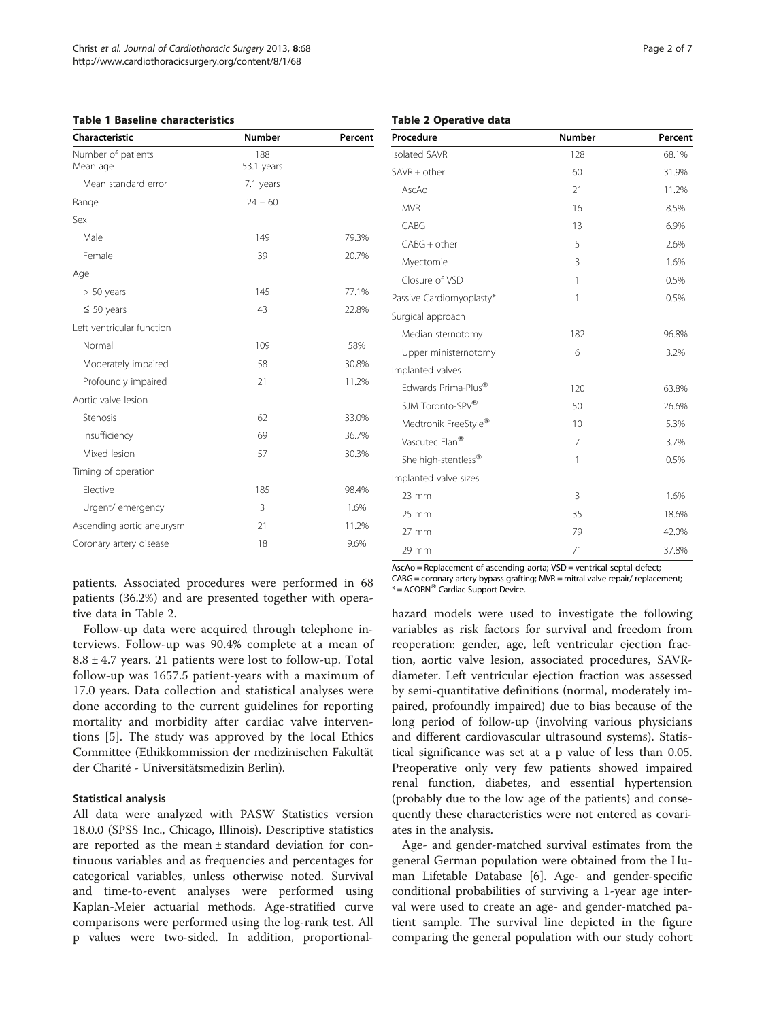<span id="page-1-0"></span>

|  |  | <b>Table 1 Baseline characteristics</b> |
|--|--|-----------------------------------------|
|--|--|-----------------------------------------|

| Characteristic                 | <b>Number</b>     | Percent |  |
|--------------------------------|-------------------|---------|--|
| Number of patients<br>Mean age | 188<br>53.1 years |         |  |
| Mean standard error            | 7.1 years         |         |  |
| Range                          | $24 - 60$         |         |  |
| Sex                            |                   |         |  |
| Male                           | 149               | 79.3%   |  |
| Female                         | 39                | 20.7%   |  |
| Age                            |                   |         |  |
| $> 50$ years                   | 145               | 77.1%   |  |
| $\leq 50$ years                | 43                | 22.8%   |  |
| Left ventricular function      |                   |         |  |
| Normal                         | 109               | 58%     |  |
| Moderately impaired            | 58                | 30.8%   |  |
| Profoundly impaired            | 21                | 11.2%   |  |
| Aortic valve lesion            |                   |         |  |
| Stenosis                       | 62                | 33.0%   |  |
| Insufficiency                  | 69                | 36.7%   |  |
| Mixed lesion                   | 57                | 30.3%   |  |
| Timing of operation            |                   |         |  |
| Elective                       | 185               | 98.4%   |  |
| Urgent/emergency               | 3                 | 1.6%    |  |
| Ascending aortic aneurysm      | 21                | 11.2%   |  |
| Coronary artery disease        | 18                | 9.6%    |  |

patients. Associated procedures were performed in 68 patients (36.2%) and are presented together with operative data in Table 2.

Follow-up data were acquired through telephone interviews. Follow-up was 90.4% complete at a mean of  $8.8 \pm 4.7$  years. 21 patients were lost to follow-up. Total follow-up was 1657.5 patient-years with a maximum of 17.0 years. Data collection and statistical analyses were done according to the current guidelines for reporting mortality and morbidity after cardiac valve interventions [[5\]](#page-6-0). The study was approved by the local Ethics Committee (Ethikkommission der medizinischen Fakultät der Charité - Universitätsmedizin Berlin).

#### Statistical analysis

All data were analyzed with PASW Statistics version 18.0.0 (SPSS Inc., Chicago, Illinois). Descriptive statistics are reported as the mean ± standard deviation for continuous variables and as frequencies and percentages for categorical variables, unless otherwise noted. Survival and time-to-event analyses were performed using Kaplan-Meier actuarial methods. Age-stratified curve comparisons were performed using the log-rank test. All p values were two-sided. In addition, proportional-

# Table 2 Operative data

| Procedure                       | Number       | Percent |  |
|---------------------------------|--------------|---------|--|
| <b>Isolated SAVR</b>            | 128          | 68.1%   |  |
| $SAVR + other$                  | 60           | 31.9%   |  |
| AscAo                           | 21           | 11.2%   |  |
| <b>MVR</b>                      | 16           | 8.5%    |  |
| CABG                            | 13           | 6.9%    |  |
| $CABG + other$                  | 5            | 2.6%    |  |
| Myectomie                       | 3            | 1.6%    |  |
| Closure of VSD                  | $\mathbf{1}$ | 0.5%    |  |
| Passive Cardiomyoplasty*        | 1            | 0.5%    |  |
| Surgical approach               |              |         |  |
| Median sternotomy               | 182          | 96.8%   |  |
| Upper ministernotomy            | 6            | 3.2%    |  |
| Implanted valves                |              |         |  |
| Edwards Prima-Plus <sup>®</sup> | 120          | 63.8%   |  |
| SJM Toronto-SPV®                | 50           | 26.6%   |  |
| Medtronik FreeStyle®            | 10           | 5.3%    |  |
| Vascutec Elan <sup>®</sup>      | 7            | 3.7%    |  |
| Shelhigh-stentless <sup>®</sup> | 1            | 0.5%    |  |
| Implanted valve sizes           |              |         |  |
| $23 \, \text{mm}$               | 3            | 1.6%    |  |
| $25 \text{ mm}$                 | 35           | 18.6%   |  |
| $27 \text{ mm}$                 | 79           | 42.0%   |  |
| 29 mm                           | 71           | 37.8%   |  |

AscAo = Replacement of ascending aorta; VSD = ventrical septal defect;  $CABG =$  coronary artery bypass grafting:  $MVR =$  mitral valve repair/ replacement;

 $* =$  ACORN $^{\circledR}$  Cardiac Support Device.

hazard models were used to investigate the following variables as risk factors for survival and freedom from reoperation: gender, age, left ventricular ejection fraction, aortic valve lesion, associated procedures, SAVRdiameter. Left ventricular ejection fraction was assessed by semi-quantitative definitions (normal, moderately impaired, profoundly impaired) due to bias because of the long period of follow-up (involving various physicians and different cardiovascular ultrasound systems). Statistical significance was set at a p value of less than 0.05. Preoperative only very few patients showed impaired renal function, diabetes, and essential hypertension (probably due to the low age of the patients) and consequently these characteristics were not entered as covariates in the analysis.

Age- and gender-matched survival estimates from the general German population were obtained from the Human Lifetable Database [[6\]](#page-6-0). Age- and gender-specific conditional probabilities of surviving a 1-year age interval were used to create an age- and gender-matched patient sample. The survival line depicted in the figure comparing the general population with our study cohort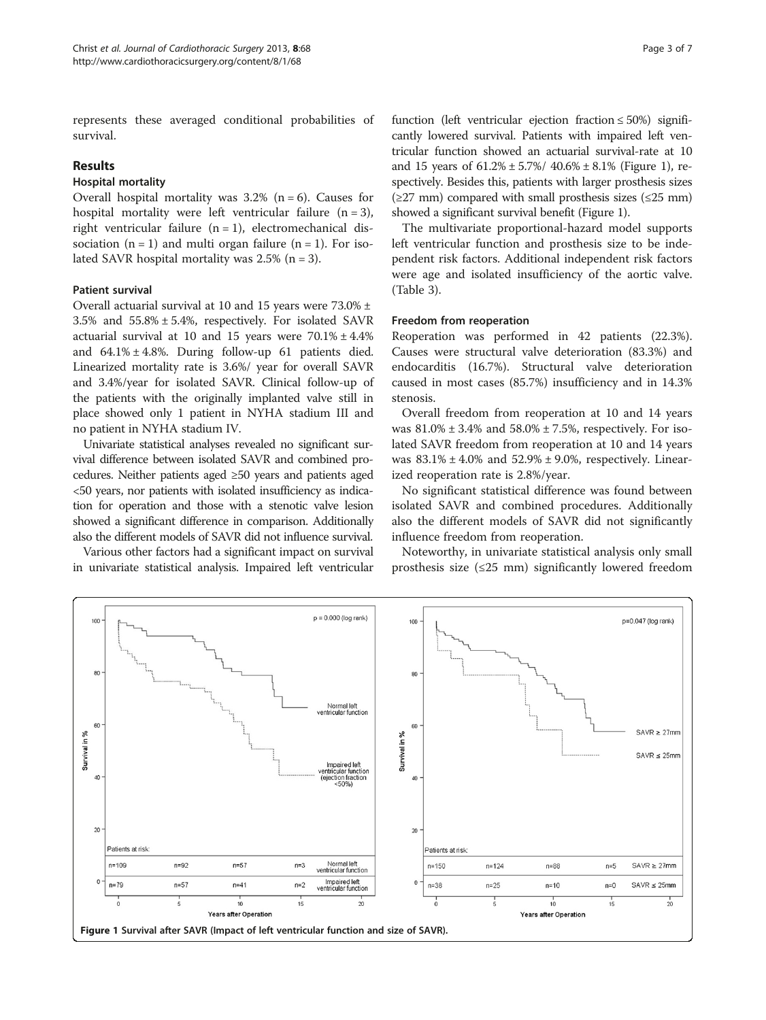represents these averaged conditional probabilities of survival.

#### Results

#### Hospital mortality

Overall hospital mortality was  $3.2\%$  (n = 6). Causes for hospital mortality were left ventricular failure  $(n = 3)$ , right ventricular failure  $(n = 1)$ , electromechanical dissociation  $(n = 1)$  and multi organ failure  $(n = 1)$ . For isolated SAVR hospital mortality was  $2.5\%$  (n = 3).

#### Patient survival

Overall actuarial survival at 10 and 15 years were 73.0% ± 3.5% and 55.8% ± 5.4%, respectively. For isolated SAVR actuarial survival at 10 and 15 years were  $70.1\% \pm 4.4\%$ and  $64.1\% \pm 4.8\%$ . During follow-up 61 patients died. Linearized mortality rate is 3.6%/ year for overall SAVR and 3.4%/year for isolated SAVR. Clinical follow-up of the patients with the originally implanted valve still in place showed only 1 patient in NYHA stadium III and no patient in NYHA stadium IV.

Univariate statistical analyses revealed no significant survival difference between isolated SAVR and combined procedures. Neither patients aged ≥50 years and patients aged <50 years, nor patients with isolated insufficiency as indication for operation and those with a stenotic valve lesion showed a significant difference in comparison. Additionally also the different models of SAVR did not influence survival.

Various other factors had a significant impact on survival in univariate statistical analysis. Impaired left ventricular function (left ventricular ejection fraction  $\leq 50\%$ ) significantly lowered survival. Patients with impaired left ventricular function showed an actuarial survival-rate at 10 and 15 years of  $61.2\% \pm 5.7\% / 40.6\% \pm 8.1\%$  (Figure 1), respectively. Besides this, patients with larger prosthesis sizes  $(\geq 27 \text{ mm})$  compared with small prosthesis sizes ( $\leq 25 \text{ mm}$ ) showed a significant survival benefit (Figure 1).

The multivariate proportional-hazard model supports left ventricular function and prosthesis size to be independent risk factors. Additional independent risk factors were age and isolated insufficiency of the aortic valve. (Table [3\)](#page-3-0).

#### Freedom from reoperation

Reoperation was performed in 42 patients (22.3%). Causes were structural valve deterioration (83.3%) and endocarditis (16.7%). Structural valve deterioration caused in most cases (85.7%) insufficiency and in 14.3% stenosis.

Overall freedom from reoperation at 10 and 14 years was  $81.0\% \pm 3.4\%$  and  $58.0\% \pm 7.5\%$ , respectively. For isolated SAVR freedom from reoperation at 10 and 14 years was  $83.1\% \pm 4.0\%$  and  $52.9\% \pm 9.0\%$ , respectively. Linearized reoperation rate is 2.8%/year.

No significant statistical difference was found between isolated SAVR and combined procedures. Additionally also the different models of SAVR did not significantly influence freedom from reoperation.

Noteworthy, in univariate statistical analysis only small prosthesis size  $(\leq 25$  mm) significantly lowered freedom

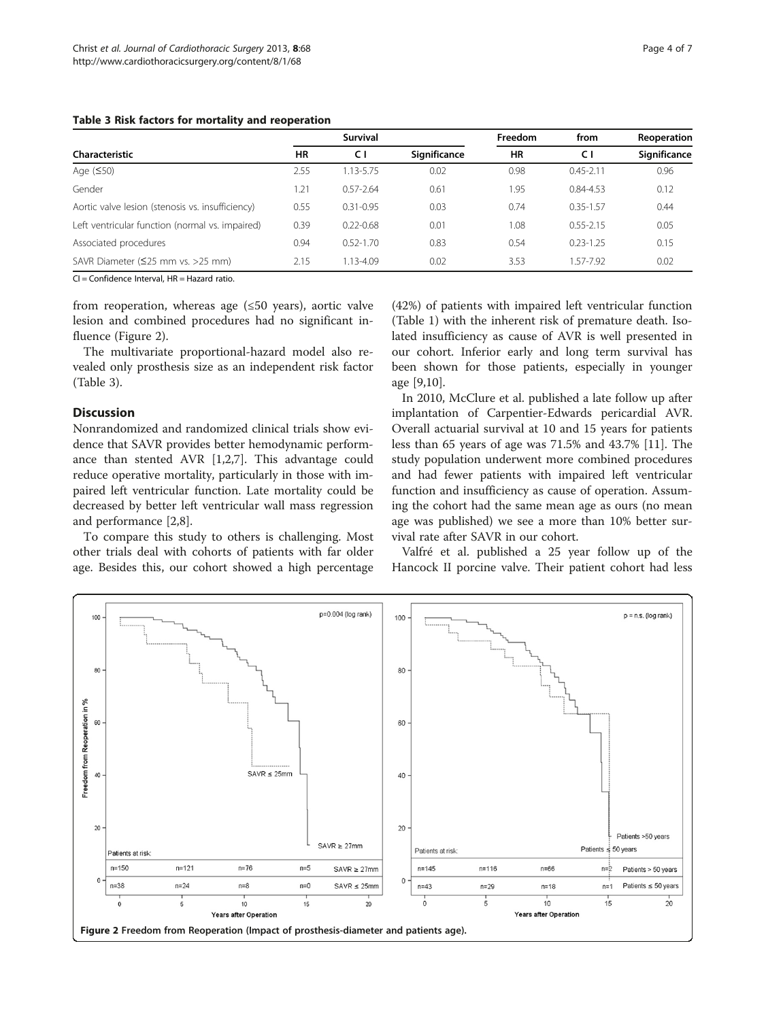# <span id="page-3-0"></span>Table 3 Risk factors for mortality and reoperation

| $1.44919$ $\sigma$ . $1.1911$ . $1.4919$ . $\sigma$ . $\sigma$ . $1.1911$ $\sigma$ . $1.919$ . $1.919$ . $1.919$ . $1.919$ . $1.919$ . $1.919$ . $1.919$ . $1.919$ . $1.919$ . $1.919$ . $1.919$ . $1.919$ . $1.919$ . $1.919$ . $1.919$ . $1$ |      |               |              |               |               |                             |  |  |  |  |
|------------------------------------------------------------------------------------------------------------------------------------------------------------------------------------------------------------------------------------------------|------|---------------|--------------|---------------|---------------|-----------------------------|--|--|--|--|
|                                                                                                                                                                                                                                                |      | Survival      | Significance | Freedom<br>ΗR | from<br>СI    | Reoperation<br>Significance |  |  |  |  |
| Characteristic                                                                                                                                                                                                                                 | HR   | C I           |              |               |               |                             |  |  |  |  |
| Age (≤50)                                                                                                                                                                                                                                      | 2.55 | 1.13-5.75     | 0.02         | 0.98          | $0.45 - 2.11$ | 0.96                        |  |  |  |  |
| Gender                                                                                                                                                                                                                                         | 1.21 | $0.57 - 2.64$ | 0.61         | 1.95          | $0.84 - 4.53$ | 0.12                        |  |  |  |  |
| Aortic valve lesion (stenosis vs. insufficiency)                                                                                                                                                                                               | 0.55 | $0.31 - 0.95$ | 0.03         | 0.74          | $0.35 - 1.57$ | 0.44                        |  |  |  |  |
| Left ventricular function (normal vs. impaired)                                                                                                                                                                                                | 0.39 | $0.22 - 0.68$ | 0.01         | 1.08          | $0.55 - 2.15$ | 0.05                        |  |  |  |  |
|                                                                                                                                                                                                                                                |      |               |              |               |               |                             |  |  |  |  |

Associated procedures **0.94** 0.52-1.70 0.83 0.54 0.23-1.25 0.15 SAVR Diameter (≤25 mm vs. >25 mm) 2.15 1.13-4.09 0.02 3.53 1.57-7.92 0.02

 $CI =$  Confidence Interval,  $HR =$  Hazard ratio.

from reoperation, whereas age (≤50 years), aortic valve lesion and combined procedures had no significant influence (Figure 2).

The multivariate proportional-hazard model also revealed only prosthesis size as an independent risk factor (Table 3).

# Discussion

Nonrandomized and randomized clinical trials show evidence that SAVR provides better hemodynamic performance than stented AVR [[1,2,7\]](#page-6-0). This advantage could reduce operative mortality, particularly in those with impaired left ventricular function. Late mortality could be decreased by better left ventricular wall mass regression and performance [\[2](#page-6-0),[8\]](#page-6-0).

To compare this study to others is challenging. Most other trials deal with cohorts of patients with far older age. Besides this, our cohort showed a high percentage

(42%) of patients with impaired left ventricular function (Table [1](#page-1-0)) with the inherent risk of premature death. Isolated insufficiency as cause of AVR is well presented in our cohort. Inferior early and long term survival has been shown for those patients, especially in younger age [\[9,10](#page-6-0)].

In 2010, McClure et al. published a late follow up after implantation of Carpentier-Edwards pericardial AVR. Overall actuarial survival at 10 and 15 years for patients less than 65 years of age was 71.5% and 43.7% [[11\]](#page-6-0). The study population underwent more combined procedures and had fewer patients with impaired left ventricular function and insufficiency as cause of operation. Assuming the cohort had the same mean age as ours (no mean age was published) we see a more than 10% better survival rate after SAVR in our cohort.

Valfré et al. published a 25 year follow up of the Hancock II porcine valve. Their patient cohort had less

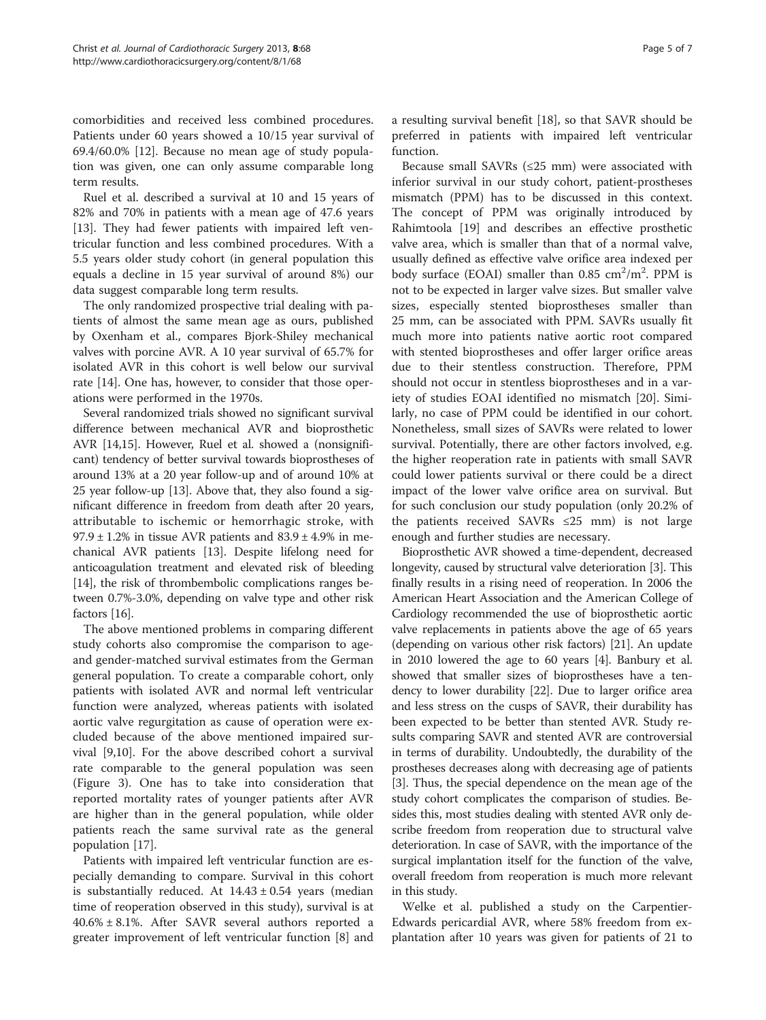comorbidities and received less combined procedures. Patients under 60 years showed a 10/15 year survival of 69.4/60.0% [[12\]](#page-6-0). Because no mean age of study population was given, one can only assume comparable long term results.

Ruel et al. described a survival at 10 and 15 years of 82% and 70% in patients with a mean age of 47.6 years [[13\]](#page-6-0). They had fewer patients with impaired left ventricular function and less combined procedures. With a 5.5 years older study cohort (in general population this equals a decline in 15 year survival of around 8%) our data suggest comparable long term results.

The only randomized prospective trial dealing with patients of almost the same mean age as ours, published by Oxenham et al., compares Bjork-Shiley mechanical valves with porcine AVR. A 10 year survival of 65.7% for isolated AVR in this cohort is well below our survival rate [[14](#page-6-0)]. One has, however, to consider that those operations were performed in the 1970s.

Several randomized trials showed no significant survival difference between mechanical AVR and bioprosthetic AVR [[14,15](#page-6-0)]. However, Ruel et al. showed a (nonsignificant) tendency of better survival towards bioprostheses of around 13% at a 20 year follow-up and of around 10% at 25 year follow-up [\[13\]](#page-6-0). Above that, they also found a significant difference in freedom from death after 20 years, attributable to ischemic or hemorrhagic stroke, with  $97.9 \pm 1.2\%$  in tissue AVR patients and  $83.9 \pm 4.9\%$  in mechanical AVR patients [\[13\]](#page-6-0). Despite lifelong need for anticoagulation treatment and elevated risk of bleeding [[14](#page-6-0)], the risk of thrombembolic complications ranges between 0.7%-3.0%, depending on valve type and other risk factors [\[16\]](#page-6-0).

The above mentioned problems in comparing different study cohorts also compromise the comparison to ageand gender-matched survival estimates from the German general population. To create a comparable cohort, only patients with isolated AVR and normal left ventricular function were analyzed, whereas patients with isolated aortic valve regurgitation as cause of operation were excluded because of the above mentioned impaired survival [\[9,10\]](#page-6-0). For the above described cohort a survival rate comparable to the general population was seen (Figure [3\)](#page-5-0). One has to take into consideration that reported mortality rates of younger patients after AVR are higher than in the general population, while older patients reach the same survival rate as the general population [[17\]](#page-6-0).

Patients with impaired left ventricular function are especially demanding to compare. Survival in this cohort is substantially reduced. At  $14.43 \pm 0.54$  years (median time of reoperation observed in this study), survival is at  $40.6\% \pm 8.1\%$ . After SAVR several authors reported a greater improvement of left ventricular function [[8\]](#page-6-0) and a resulting survival benefit [[18\]](#page-6-0), so that SAVR should be preferred in patients with impaired left ventricular function.

Because small SAVRs (≤25 mm) were associated with inferior survival in our study cohort, patient-prostheses mismatch (PPM) has to be discussed in this context. The concept of PPM was originally introduced by Rahimtoola [[19](#page-6-0)] and describes an effective prosthetic valve area, which is smaller than that of a normal valve, usually defined as effective valve orifice area indexed per body surface (EOAI) smaller than  $0.85 \text{ cm}^2/\text{m}^2$ . PPM is not to be expected in larger valve sizes. But smaller valve sizes, especially stented bioprostheses smaller than 25 mm, can be associated with PPM. SAVRs usually fit much more into patients native aortic root compared with stented bioprostheses and offer larger orifice areas due to their stentless construction. Therefore, PPM should not occur in stentless bioprostheses and in a variety of studies EOAI identified no mismatch [[20\]](#page-6-0). Similarly, no case of PPM could be identified in our cohort. Nonetheless, small sizes of SAVRs were related to lower survival. Potentially, there are other factors involved, e.g. the higher reoperation rate in patients with small SAVR could lower patients survival or there could be a direct impact of the lower valve orifice area on survival. But for such conclusion our study population (only 20.2% of the patients received SAVRs ≤25 mm) is not large enough and further studies are necessary.

Bioprosthetic AVR showed a time-dependent, decreased longevity, caused by structural valve deterioration [\[3](#page-6-0)]. This finally results in a rising need of reoperation. In 2006 the American Heart Association and the American College of Cardiology recommended the use of bioprosthetic aortic valve replacements in patients above the age of 65 years (depending on various other risk factors) [[21](#page-6-0)]. An update in 2010 lowered the age to 60 years [[4](#page-6-0)]. Banbury et al. showed that smaller sizes of bioprostheses have a tendency to lower durability [\[22\]](#page-6-0). Due to larger orifice area and less stress on the cusps of SAVR, their durability has been expected to be better than stented AVR. Study results comparing SAVR and stented AVR are controversial in terms of durability. Undoubtedly, the durability of the prostheses decreases along with decreasing age of patients [[3\]](#page-6-0). Thus, the special dependence on the mean age of the study cohort complicates the comparison of studies. Besides this, most studies dealing with stented AVR only describe freedom from reoperation due to structural valve deterioration. In case of SAVR, with the importance of the surgical implantation itself for the function of the valve, overall freedom from reoperation is much more relevant in this study.

Welke et al. published a study on the Carpentier-Edwards pericardial AVR, where 58% freedom from explantation after 10 years was given for patients of 21 to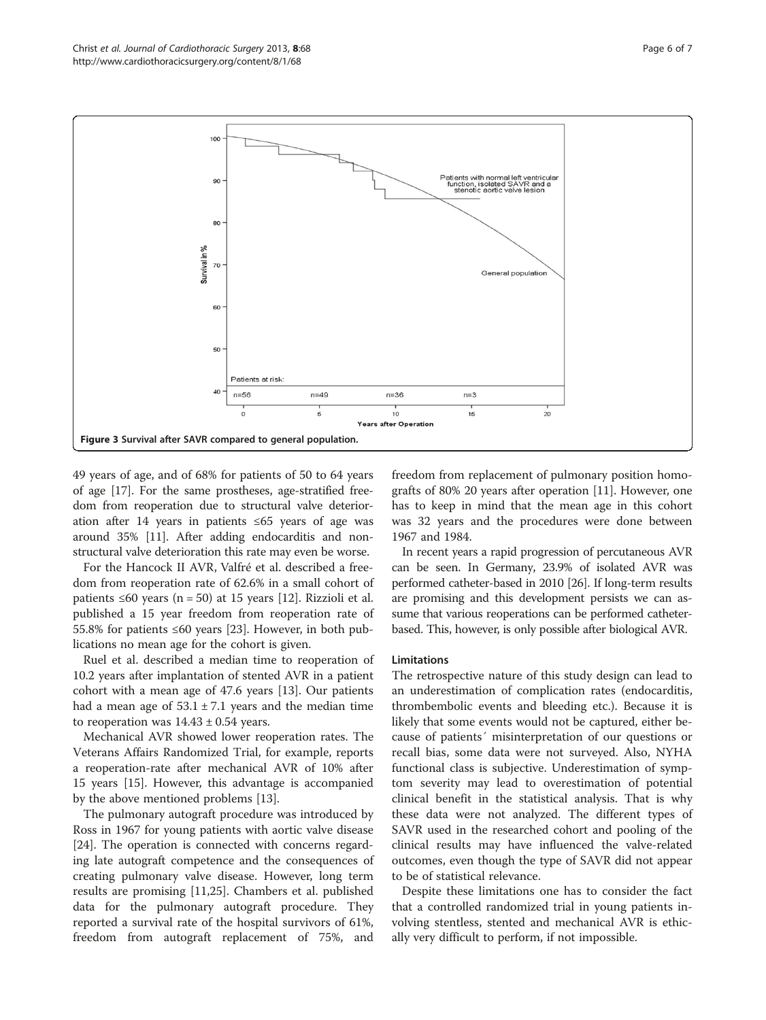<span id="page-5-0"></span>

49 years of age, and of 68% for patients of 50 to 64 years of age [\[17](#page-6-0)]. For the same prostheses, age-stratified freedom from reoperation due to structural valve deterioration after 14 years in patients ≤65 years of age was around 35% [\[11](#page-6-0)]. After adding endocarditis and nonstructural valve deterioration this rate may even be worse.

For the Hancock II AVR, Valfré et al. described a freedom from reoperation rate of 62.6% in a small cohort of patients ≤60 years (n = 50) at 15 years [\[12](#page-6-0)]. Rizzioli et al. published a 15 year freedom from reoperation rate of 55.8% for patients ≤60 years [[23\]](#page-6-0). However, in both publications no mean age for the cohort is given.

Ruel et al. described a median time to reoperation of 10.2 years after implantation of stented AVR in a patient cohort with a mean age of 47.6 years [\[13](#page-6-0)]. Our patients had a mean age of  $53.1 \pm 7.1$  years and the median time to reoperation was  $14.43 \pm 0.54$  years.

Mechanical AVR showed lower reoperation rates. The Veterans Affairs Randomized Trial, for example, reports a reoperation-rate after mechanical AVR of 10% after 15 years [\[15](#page-6-0)]. However, this advantage is accompanied by the above mentioned problems [\[13](#page-6-0)].

The pulmonary autograft procedure was introduced by Ross in 1967 for young patients with aortic valve disease [[24\]](#page-6-0). The operation is connected with concerns regarding late autograft competence and the consequences of creating pulmonary valve disease. However, long term results are promising [\[11,25](#page-6-0)]. Chambers et al. published data for the pulmonary autograft procedure. They reported a survival rate of the hospital survivors of 61%, freedom from autograft replacement of 75%, and

freedom from replacement of pulmonary position homografts of 80% 20 years after operation [\[11](#page-6-0)]. However, one has to keep in mind that the mean age in this cohort was 32 years and the procedures were done between 1967 and 1984.

In recent years a rapid progression of percutaneous AVR can be seen. In Germany, 23.9% of isolated AVR was performed catheter-based in 2010 [\[26\]](#page-6-0). If long-term results are promising and this development persists we can assume that various reoperations can be performed catheterbased. This, however, is only possible after biological AVR.

#### Limitations

The retrospective nature of this study design can lead to an underestimation of complication rates (endocarditis, thrombembolic events and bleeding etc.). Because it is likely that some events would not be captured, either because of patients´ misinterpretation of our questions or recall bias, some data were not surveyed. Also, NYHA functional class is subjective. Underestimation of symptom severity may lead to overestimation of potential clinical benefit in the statistical analysis. That is why these data were not analyzed. The different types of SAVR used in the researched cohort and pooling of the clinical results may have influenced the valve-related outcomes, even though the type of SAVR did not appear to be of statistical relevance.

Despite these limitations one has to consider the fact that a controlled randomized trial in young patients involving stentless, stented and mechanical AVR is ethically very difficult to perform, if not impossible.